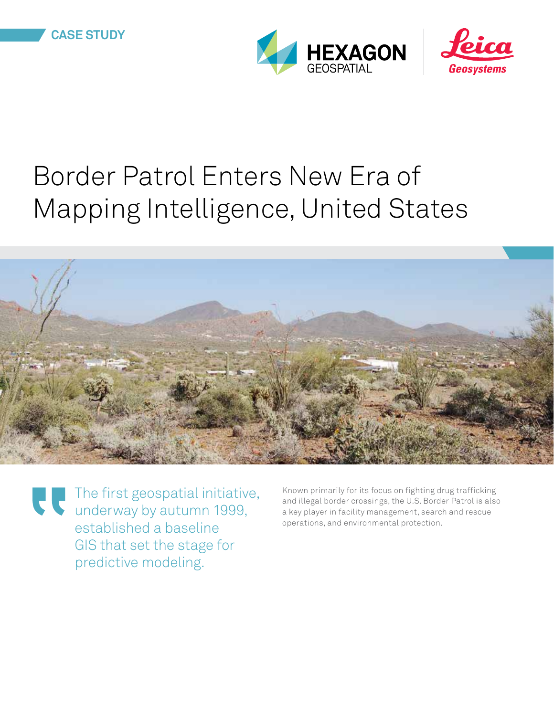



# Border Patrol Enters New Era of Mapping Intelligence, United States



The first geospatial initiative, underway by autumn 1999, established a baseline GIS that set the stage for predictive modeling.

Known primarily for its focus on fighting drug trafficking and illegal border crossings, the U.S. Border Patrol is also a key player in facility management, search and rescue operations, and environmental protection.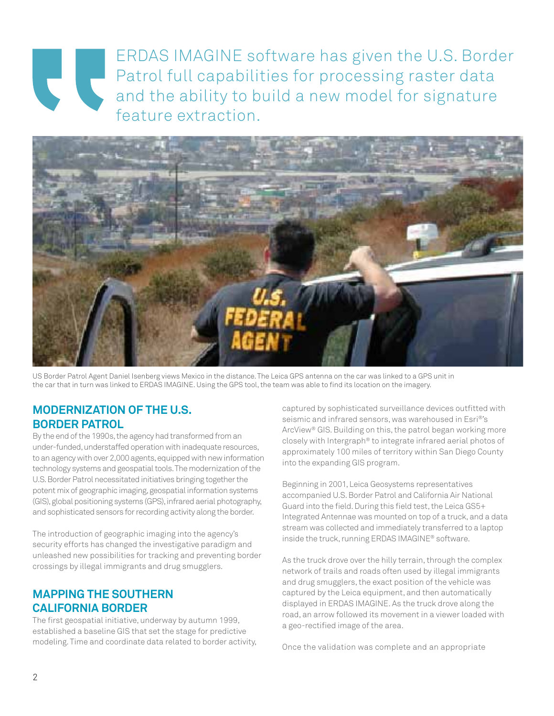# ERDAS IMAGINE software has given the U.S. Border Patrol full capabilities for processing raster data and the ability to build a new model for signature feature extraction.



US Border Patrol Agent Daniel Isenberg views Mexico in the distance. The Leica GPS antenna on the car was linked to a GPS unit in the car that in turn was linked to ERDAS IMAGINE. Using the GPS tool, the team was able to find its location on the imagery.

## **Modernization of the u.s. border patrol**

By the end of the 1990s, the agency had transformed from an under-funded, understaffed operation with inadequate resources, to an agency with over 2,000 agents, equipped with new information technology systems and geospatial tools. The modernization of the U.S. Border Patrol necessitated initiatives bringing together the potent mix of geographic imaging, geospatial information systems (GIS), global positioning systems (GPS), infrared aerial photography, and sophisticated sensors for recording activity along the border.

The introduction of geographic imaging into the agency's security efforts has changed the investigative paradigm and unleashed new possibilities for tracking and preventing border crossings by illegal immigrants and drug smugglers.

## **mapping the southern california border**

The first geospatial initiative, underway by autumn 1999, established a baseline GIS that set the stage for predictive modeling. Time and coordinate data related to border activity,

captured by sophisticated surveillance devices outfitted with seismic and infrared sensors, was warehoused in Esri®'s ArcView® GIS. Building on this, the patrol began working more closely with Intergraph® to integrate infrared aerial photos of approximately 100 miles of territory within San Diego County into the expanding GIS program.

Beginning in 2001, Leica Geosystems representatives accompanied U.S. Border Patrol and California Air National Guard into the field. During this field test, the Leica GS5+ Integrated Antennae was mounted on top of a truck, and a data stream was collected and immediately transferred to a laptop inside the truck, running ERDAS IMAGINE® software.

As the truck drove over the hilly terrain, through the complex network of trails and roads often used by illegal immigrants and drug smugglers, the exact position of the vehicle was captured by the Leica equipment, and then automatically displayed in ERDAS IMAGINE. As the truck drove along the road, an arrow followed its movement in a viewer loaded with a geo-rectified image of the area.

Once the validation was complete and an appropriate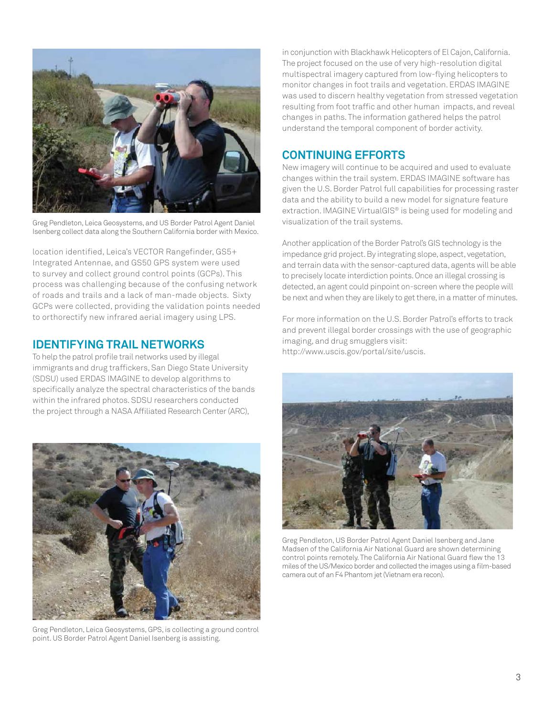

Greg Pendleton, Leica Geosystems, and US Border Patrol Agent Daniel Isenberg collect data along the Southern California border with Mexico.

location identified, Leica's VECTOR Rangefinder, GS5+ Integrated Antennae, and GS50 GPS system were used to survey and collect ground control points (GCPs). This process was challenging because of the confusing network of roads and trails and a lack of man-made objects. Sixty GCPs were collected, providing the validation points needed to orthorectify new infrared aerial imagery using LPS.

#### **IDENTIFYING TRAIL NETWORKS**

To help the patrol profile trail networks used by illegal immigrants and drug traffickers, San Diego State University (SDSU) used ERDAS IMAGINE to develop algorithms to specifically analyze the spectral characteristics of the bands within the infrared photos. SDSU researchers conducted the project through a NASA Affiliated Research Center (ARC),



Greg Pendleton, Leica Geosystems, GPS, is collecting a ground control point. US Border Patrol Agent Daniel Isenberg is assisting.

in conjunction with Blackhawk Helicopters of El Cajon, California. The project focused on the use of very high-resolution digital multispectral imagery captured from low-flying helicopters to monitor changes in foot trails and vegetation. ERDAS IMAGINE was used to discern healthy vegetation from stressed vegetation resulting from foot traffic and other human impacts, and reveal changes in paths. The information gathered helps the patrol understand the temporal component of border activity.

#### **CONTINUING EFFORTS**

New imagery will continue to be acquired and used to evaluate changes within the trail system. ERDAS IMAGINE software has given the U.S. Border Patrol full capabilities for processing raster data and the ability to build a new model for signature feature extraction. IMAGINE VirtualGIS<sup>®</sup> is being used for modeling and visualization of the trail systems.

Another application of the Border Patrol's GIS technology is the impedance grid project. By integrating slope, aspect, vegetation, and terrain data with the sensor-captured data, agents will be able to precisely locate interdiction points. Once an illegal crossing is detected, an agent could pinpoint on-screen where the people will be next and when they are likely to get there, in a matter of minutes.

For more information on the U.S. Border Patrol's efforts to track and prevent illegal border crossings with the use of geographic imaging, and drug smugglers visit: http://www.uscis.gov/portal/site/uscis.



Greg Pendleton, US Border Patrol Agent Daniel Isenberg and Jane Madsen of the California Air National Guard are shown determining control points remotely. The California Air National Guard flew the 13 miles of the US/Mexico border and collected the images using a film-based camera out of an F4 Phantom jet (Vietnam era recon).